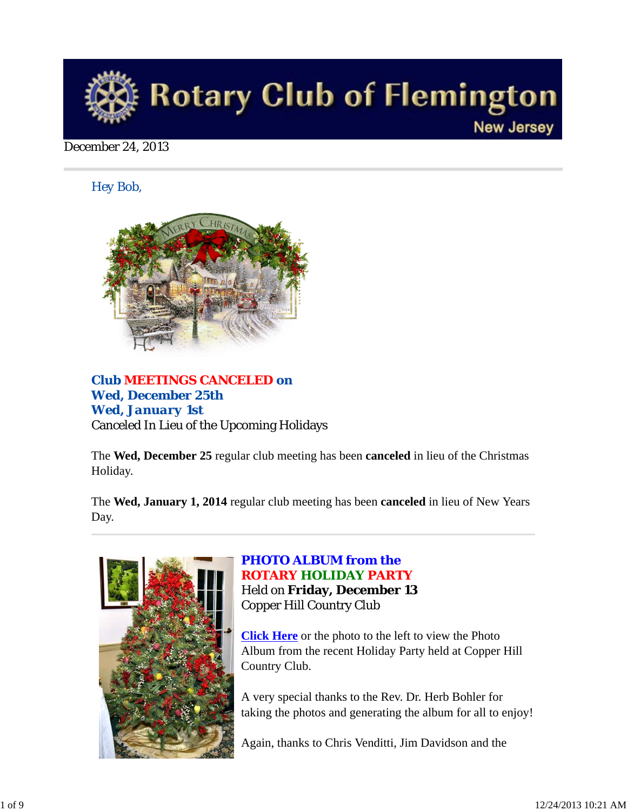

December 24, 2013

*Hey Bob,* 



## *Club MEETINGS CANCELED on Wed, December 25th Wed, January 1st* Canceled In Lieu of the Upcoming Holidays

The **Wed, December 25** regular club meeting has been **canceled** in lieu of the Christmas Holiday.

The **Wed, January 1, 2014** regular club meeting has been **canceled** in lieu of New Years Day.



### *PHOTO ALBUM from the ROTARY HOLIDAY PARTY* Held on **Friday, December 13**

Copper Hill Country Club

**Click Here** or the photo to the left to view the Photo Album from the recent Holiday Party held at Copper Hill Country Club.

A very special thanks to the Rev. Dr. Herb Bohler for taking the photos and generating the album for all to enjoy!

Again, thanks to Chris Venditti, Jim Davidson and the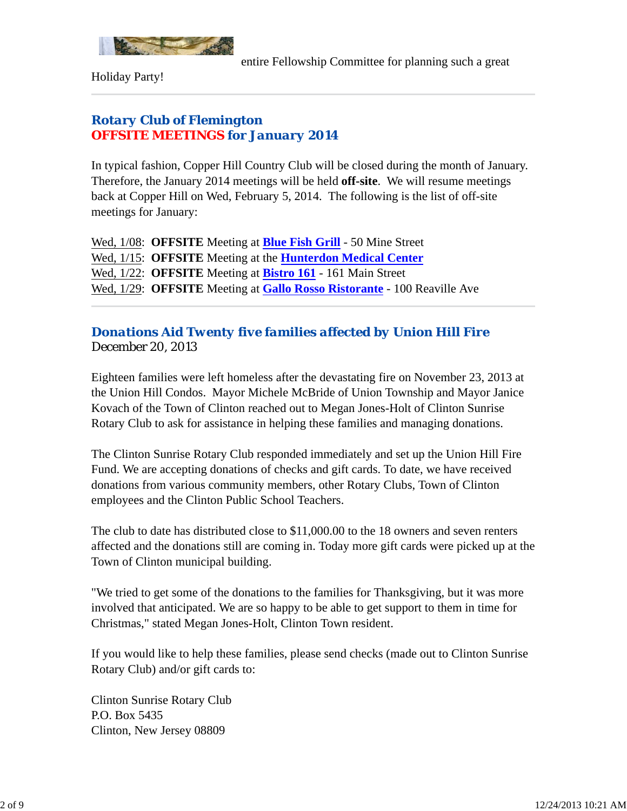

Holiday Party!

## *Rotary Club of Flemington OFFSITE MEETINGS for January 2014*

In typical fashion, Copper Hill Country Club will be closed during the month of January. Therefore, the January 2014 meetings will be held **off-site**. We will resume meetings back at Copper Hill on Wed, February 5, 2014. The following is the list of off-site meetings for January:

Wed, 1/08: **OFFSITE** Meeting at **Blue Fish Grill** - 50 Mine Street Wed, 1/15: **OFFSITE** Meeting at the **Hunterdon Medical Center** Wed, 1/22: **OFFSITE** Meeting at **Bistro 161** - 161 Main Street Wed, 1/29: **OFFSITE** Meeting at **Gallo Rosso Ristorante** - 100 Reaville Ave

## *Donations Aid Twenty five families affected by Union Hill Fire* December 20, 2013

Eighteen families were left homeless after the devastating fire on November 23, 2013 at the Union Hill Condos. Mayor Michele McBride of Union Township and Mayor Janice Kovach of the Town of Clinton reached out to Megan Jones-Holt of Clinton Sunrise Rotary Club to ask for assistance in helping these families and managing donations.

The Clinton Sunrise Rotary Club responded immediately and set up the Union Hill Fire Fund. We are accepting donations of checks and gift cards. To date, we have received donations from various community members, other Rotary Clubs, Town of Clinton employees and the Clinton Public School Teachers.

The club to date has distributed close to \$11,000.00 to the 18 owners and seven renters affected and the donations still are coming in. Today more gift cards were picked up at the Town of Clinton municipal building.

"We tried to get some of the donations to the families for Thanksgiving, but it was more involved that anticipated. We are so happy to be able to get support to them in time for Christmas," stated Megan Jones-Holt, Clinton Town resident.

If you would like to help these families, please send checks (made out to Clinton Sunrise Rotary Club) and/or gift cards to:

Clinton Sunrise Rotary Club P.O. Box 5435 Clinton, New Jersey 08809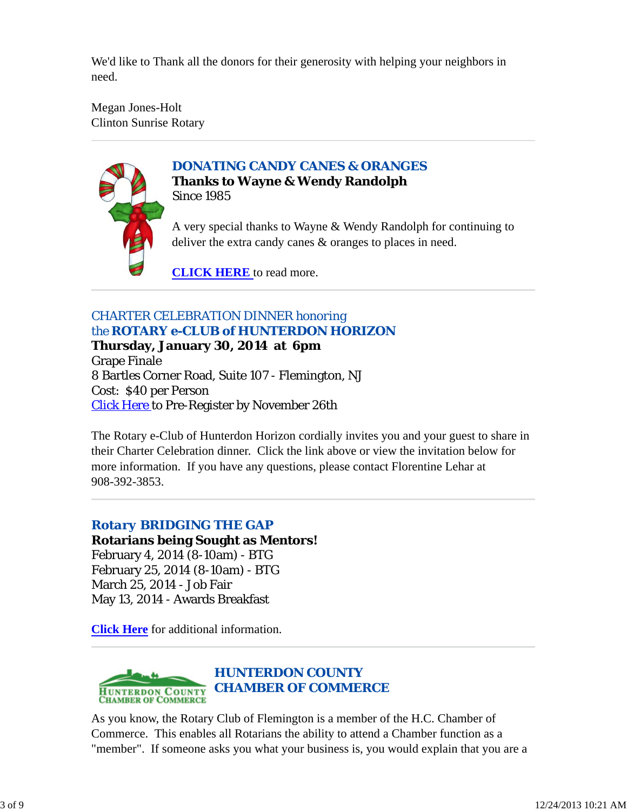We'd like to Thank all the donors for their generosity with helping your neighbors in need.

Megan Jones-Holt Clinton Sunrise Rotary



*DONATING CANDY CANES & ORANGES* **Thanks to Wayne & Wendy Randolph** Since 1985

A very special thanks to Wayne & Wendy Randolph for continuing to deliver the extra candy canes & oranges to places in need.

**CLICK HERE** to read more.

# *CHARTER CELEBRATION DINNER honoring the ROTARY e-CLUB of HUNTERDON HORIZON*

**Thursday, January 30, 2014 at 6pm** Grape Finale 8 Bartles Corner Road, Suite 107 - Flemington, NJ Cost: \$40 per Person Click Here to Pre-Register by November 26th

The Rotary e-Club of Hunterdon Horizon cordially invites you and your guest to share in their Charter Celebration dinner. Click the link above or view the invitation below for more information. If you have any questions, please contact Florentine Lehar at 908-392-3853.

# *Rotary BRIDGING THE GAP*

### **Rotarians being Sought as Mentors!** February 4, 2014 (8-10am) - BTG

February 25, 2014 (8-10am) - BTG March 25, 2014 - Job Fair May 13, 2014 - Awards Breakfast

**Click Here** for additional information.



As you know, the Rotary Club of Flemington is a member of the H.C. Chamber of Commerce. This enables all Rotarians the ability to attend a Chamber function as a "member". If someone asks you what your business is, you would explain that you are a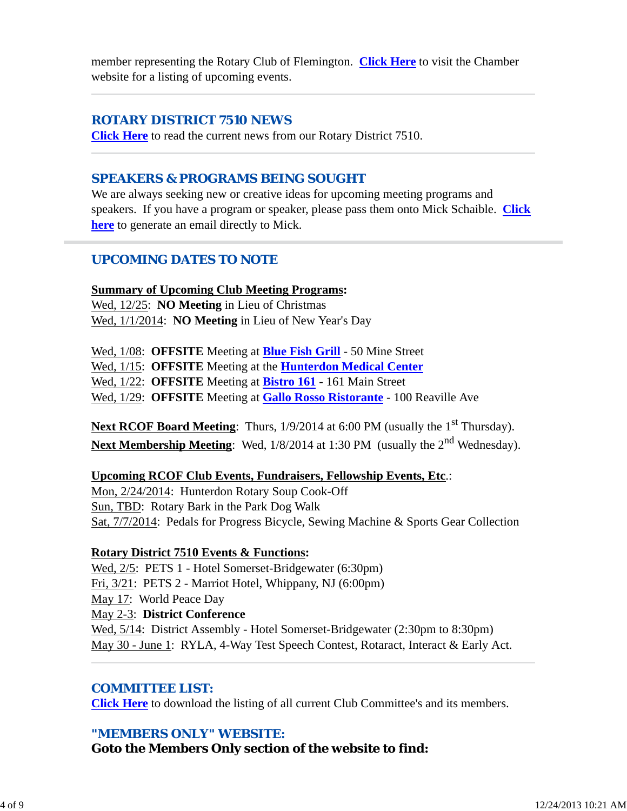member representing the Rotary Club of Flemington. **Click Here** to visit the Chamber website for a listing of upcoming events.

## *ROTARY DISTRICT 7510 NEWS*

**Click Here** to read the current news from our Rotary District 7510.

## *SPEAKERS & PROGRAMS BEING SOUGHT*

We are always seeking new or creative ideas for upcoming meeting programs and speakers. If you have a program or speaker, please pass them onto Mick Schaible. **Click here** to generate an email directly to Mick.

## *UPCOMING DATES TO NOTE*

## **Summary of Upcoming Club Meeting Programs:**

Wed, 12/25: **NO Meeting** in Lieu of Christmas Wed, 1/1/2014: **NO Meeting** in Lieu of New Year's Day

Wed, 1/08: **OFFSITE** Meeting at **Blue Fish Grill** - 50 Mine Street Wed, 1/15: **OFFSITE** Meeting at the **Hunterdon Medical Center** Wed, 1/22: **OFFSITE** Meeting at **Bistro 161** - 161 Main Street Wed, 1/29: **OFFSITE** Meeting at **Gallo Rosso Ristorante** - 100 Reaville Ave

**Next RCOF Board Meeting:** Thurs,  $1/9/2014$  at 6:00 PM (usually the 1<sup>st</sup> Thursday). Next Membership Meeting: Wed, 1/8/2014 at 1:30 PM (usually the 2<sup>nd</sup> Wednesday).

## **Upcoming RCOF Club Events, Fundraisers, Fellowship Events, Etc**.:

Mon, 2/24/2014: Hunterdon Rotary Soup Cook-Off Sun, TBD: Rotary Bark in the Park Dog Walk Sat, 7/7/2014: Pedals for Progress Bicycle, Sewing Machine & Sports Gear Collection

## **Rotary District 7510 Events & Functions:**

Wed, 2/5: PETS 1 - Hotel Somerset-Bridgewater (6:30pm) Fri, 3/21: PETS 2 - Marriot Hotel, Whippany, NJ (6:00pm) May 17: World Peace Day May 2-3: **District Conference** Wed,  $5/14$ : District Assembly - Hotel Somerset-Bridgewater (2:30pm to 8:30pm) May 30 - June 1: RYLA, 4-Way Test Speech Contest, Rotaract, Interact & Early Act.

## *COMMITTEE LIST:*

**Click Here** to download the listing of all current Club Committee's and its members.

## *"MEMBERS ONLY" WEBSITE:*

**Goto the Members Only section of the website to find:**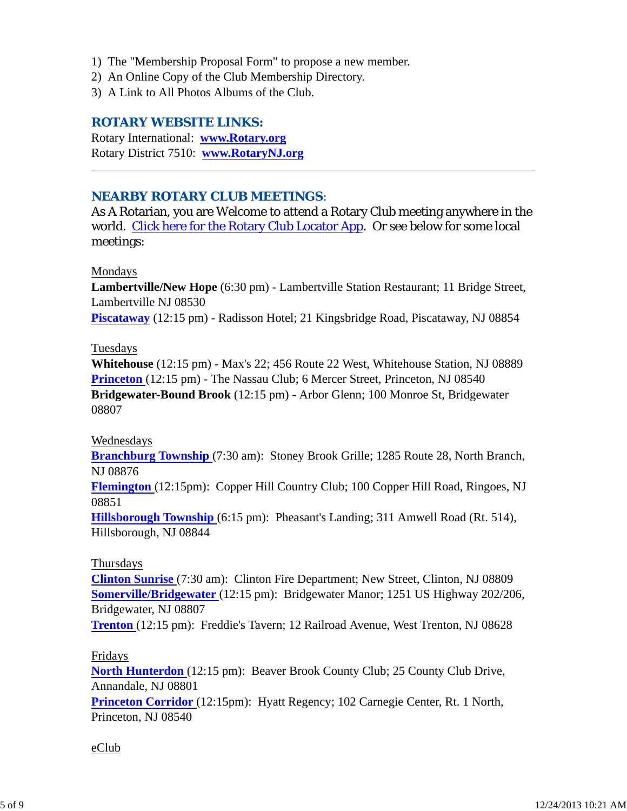- 1) The "Membership Proposal Form" to propose a new member.
- 2) An Online Copy of the Club Membership Directory.
- 3) A Link to All Photos Albums of the Club.

### *ROTARY WEBSITE LINKS:*

Rotary International: **www.Rotary.org** Rotary District 7510: **www.RotaryNJ.org**

### *NEARBY ROTARY CLUB MEETINGS:*

As A Rotarian, you are Welcome to attend a Rotary Club meeting anywhere in the world. Click here for the Rotary Club Locator App. Or see below for some local meetings:

### Mondays

**Lambertville/New Hope** (6:30 pm) - Lambertville Station Restaurant; 11 Bridge Street, Lambertville NJ 08530

**Piscataway** (12:15 pm) - Radisson Hotel; 21 Kingsbridge Road, Piscataway, NJ 08854

### Tuesdays

**Whitehouse** (12:15 pm) - Max's 22; 456 Route 22 West, Whitehouse Station, NJ 08889 **Princeton** (12:15 pm) - The Nassau Club; 6 Mercer Street, Princeton, NJ 08540 **Bridgewater-Bound Brook** (12:15 pm) - Arbor Glenn; 100 Monroe St, Bridgewater 08807

### Wednesdays

**Branchburg Township** (7:30 am): Stoney Brook Grille; 1285 Route 28, North Branch, NJ 08876

**Flemington** (12:15pm): Copper Hill Country Club; 100 Copper Hill Road, Ringoes, NJ 08851

**Hillsborough Township** (6:15 pm): Pheasant's Landing; 311 Amwell Road (Rt. 514), Hillsborough, NJ 08844

### Thursdays

**Clinton Sunrise** (7:30 am): Clinton Fire Department; New Street, Clinton, NJ 08809 **Somerville/Bridgewater** (12:15 pm): Bridgewater Manor; 1251 US Highway 202/206, Bridgewater, NJ 08807

**Trenton** (12:15 pm): Freddie's Tavern; 12 Railroad Avenue, West Trenton, NJ 08628

### Fridays

**North Hunterdon** (12:15 pm): Beaver Brook County Club; 25 County Club Drive, Annandale, NJ 08801 **Princeton Corridor** (12:15pm): Hyatt Regency; 102 Carnegie Center, Rt. 1 North,

Princeton, NJ 08540

### eClub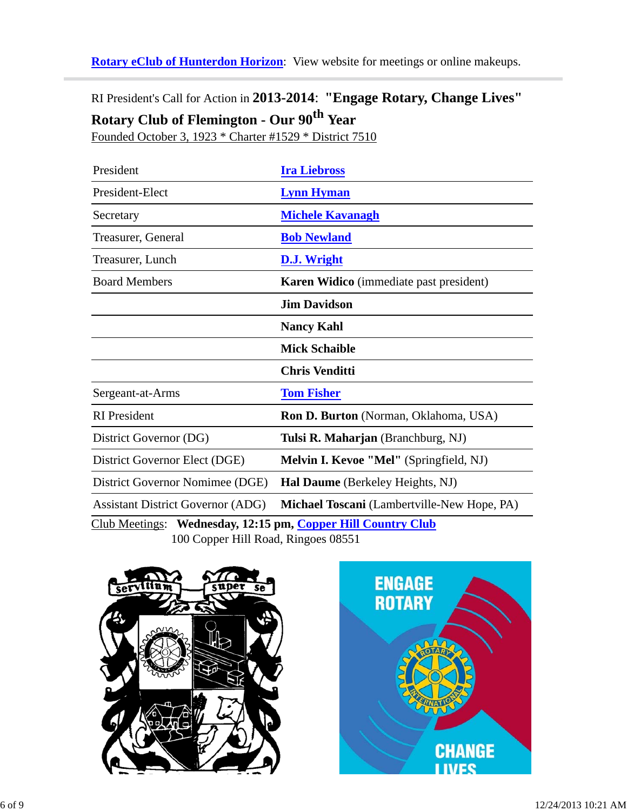**Rotary eClub of Hunterdon Horizon**: View website for meetings or online makeups.

RI President's Call for Action in **2013-2014**: **"Engage Rotary, Change Lives" Rotary Club of Flemington - Our 90th Year**

Founded October 3, 1923 \* Charter #1529 \* District 7510

| President                                                    | <b>Ira Liebross</b>                         |  |
|--------------------------------------------------------------|---------------------------------------------|--|
| President-Elect                                              | <b>Lynn Hyman</b>                           |  |
| Secretary                                                    | <b>Michele Kavanagh</b>                     |  |
| Treasurer, General                                           | <b>Bob Newland</b>                          |  |
| Treasurer, Lunch                                             | <b>D.J. Wright</b>                          |  |
| <b>Board Members</b>                                         | Karen Widico (immediate past president)     |  |
|                                                              | <b>Jim Davidson</b>                         |  |
|                                                              | <b>Nancy Kahl</b>                           |  |
|                                                              | <b>Mick Schaible</b>                        |  |
|                                                              | <b>Chris Venditti</b>                       |  |
| Sergeant-at-Arms                                             | <b>Tom Fisher</b>                           |  |
| <b>RI</b> President                                          | Ron D. Burton (Norman, Oklahoma, USA)       |  |
| District Governor (DG)                                       | Tulsi R. Maharjan (Branchburg, NJ)          |  |
| District Governor Elect (DGE)                                | Melvin I. Kevoe "Mel" (Springfield, NJ)     |  |
| District Governor Nomimee (DGE)                              | Hal Daume (Berkeley Heights, NJ)            |  |
| <b>Assistant District Governor (ADG)</b>                     | Michael Toscani (Lambertville-New Hope, PA) |  |
| Club Meetings: Wednesday, 12:15 pm, Copper Hill Country Club |                                             |  |
| 100 Copper Hill Road, Ringoes 08551                          |                                             |  |



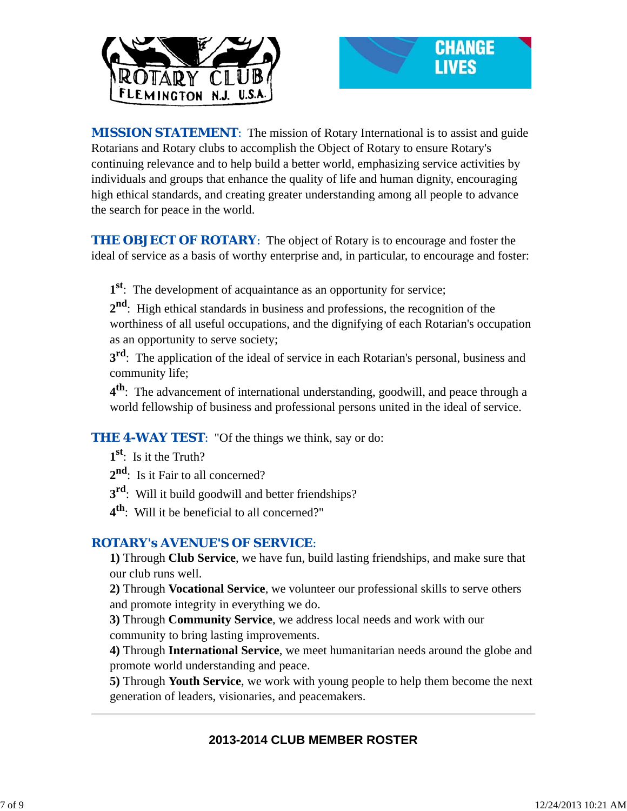



**MISSION STATEMENT:** The mission of Rotary International is to assist and guide Rotarians and Rotary clubs to accomplish the Object of Rotary to ensure Rotary's continuing relevance and to help build a better world, emphasizing service activities by individuals and groups that enhance the quality of life and human dignity, encouraging high ethical standards, and creating greater understanding among all people to advance the search for peace in the world.

**THE OBJECT OF ROTARY:** The object of Rotary is to encourage and foster the ideal of service as a basis of worthy enterprise and, in particular, to encourage and foster:

**1st**: The development of acquaintance as an opportunity for service;

**2nd**: High ethical standards in business and professions, the recognition of the worthiness of all useful occupations, and the dignifying of each Rotarian's occupation as an opportunity to serve society;

**3<sup>rd</sup>**: The application of the ideal of service in each Rotarian's personal, business and community life;

**4th**: The advancement of international understanding, goodwill, and peace through a world fellowship of business and professional persons united in the ideal of service.

**THE 4-WAY TEST:** "Of the things we think, say or do:

**1st**: Is it the Truth?

2<sup>nd</sup>: Is it Fair to all concerned?

**3rd**: Will it build goodwill and better friendships?

**4th**: Will it be beneficial to all concerned?"

## *ROTARY's AVENUE'S OF SERVICE*:

**1)** Through **Club Service**, we have fun, build lasting friendships, and make sure that our club runs well.

**2)** Through **Vocational Service**, we volunteer our professional skills to serve others and promote integrity in everything we do.

**3)** Through **Community Service**, we address local needs and work with our community to bring lasting improvements.

**4)** Through **International Service**, we meet humanitarian needs around the globe and promote world understanding and peace.

**5)** Through **Youth Service**, we work with young people to help them become the next generation of leaders, visionaries, and peacemakers.

## **2013-2014 CLUB MEMBER ROSTER**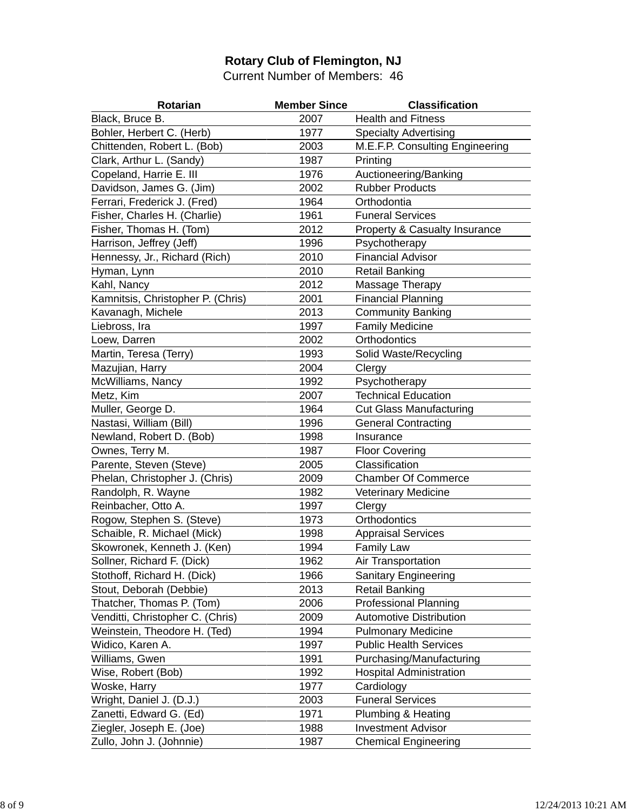## **Rotary Club of Flemington, NJ**

Current Number of Members: 46

| Rotarian                          | <b>Member Since</b> | <b>Classification</b>                    |
|-----------------------------------|---------------------|------------------------------------------|
| Black, Bruce B.                   | 2007                | <b>Health and Fitness</b>                |
| Bohler, Herbert C. (Herb)         | 1977                | <b>Specialty Advertising</b>             |
| Chittenden, Robert L. (Bob)       | 2003                | M.E.F.P. Consulting Engineering          |
| Clark, Arthur L. (Sandy)          | 1987                | Printing                                 |
| Copeland, Harrie E. III           | 1976                | Auctioneering/Banking                    |
| Davidson, James G. (Jim)          | 2002                | <b>Rubber Products</b>                   |
| Ferrari, Frederick J. (Fred)      | 1964                | Orthodontia                              |
| Fisher, Charles H. (Charlie)      | 1961                | <b>Funeral Services</b>                  |
| Fisher, Thomas H. (Tom)           | 2012                | <b>Property &amp; Casualty Insurance</b> |
| Harrison, Jeffrey (Jeff)          | 1996                | Psychotherapy                            |
| Hennessy, Jr., Richard (Rich)     | 2010                | <b>Financial Advisor</b>                 |
| Hyman, Lynn                       | 2010                | <b>Retail Banking</b>                    |
| Kahl, Nancy                       | 2012                | Massage Therapy                          |
| Kamnitsis, Christopher P. (Chris) | 2001                | <b>Financial Planning</b>                |
| Kavanagh, Michele                 | 2013                | <b>Community Banking</b>                 |
| Liebross, Ira                     | 1997                | <b>Family Medicine</b>                   |
| Loew, Darren                      | 2002                | Orthodontics                             |
| Martin, Teresa (Terry)            | 1993                | Solid Waste/Recycling                    |
| Mazujian, Harry                   | 2004                | Clergy                                   |
| McWilliams, Nancy                 | 1992                | Psychotherapy                            |
| Metz, Kim                         | 2007                | <b>Technical Education</b>               |
| Muller, George D.                 | 1964                | <b>Cut Glass Manufacturing</b>           |
| Nastasi, William (Bill)           | 1996                | <b>General Contracting</b>               |
| Newland, Robert D. (Bob)          | 1998                | Insurance                                |
| Ownes, Terry M.                   | 1987                | <b>Floor Covering</b>                    |
| Parente, Steven (Steve)           | 2005                | Classification                           |
| Phelan, Christopher J. (Chris)    | 2009                | <b>Chamber Of Commerce</b>               |
| Randolph, R. Wayne                | 1982                | <b>Veterinary Medicine</b>               |
| Reinbacher, Otto A.               | 1997                | Clergy                                   |
| Rogow, Stephen S. (Steve)         | 1973                | Orthodontics                             |
| Schaible, R. Michael (Mick)       | 1998                | <b>Appraisal Services</b>                |
| Skowronek, Kenneth J. (Ken)       | 1994                | <b>Family Law</b>                        |
| Sollner, Richard F. (Dick)        | 1962                | Air Transportation                       |
| Stothoff, Richard H. (Dick)       | 1966                | <b>Sanitary Engineering</b>              |
| Stout, Deborah (Debbie)           | 2013                | <b>Retail Banking</b>                    |
| Thatcher, Thomas P. (Tom)         | 2006                | <b>Professional Planning</b>             |
| Venditti, Christopher C. (Chris)  | 2009                | <b>Automotive Distribution</b>           |
| Weinstein, Theodore H. (Ted)      | 1994                | <b>Pulmonary Medicine</b>                |
| Widico, Karen A.                  | 1997                | <b>Public Health Services</b>            |
| Williams, Gwen                    | 1991                | Purchasing/Manufacturing                 |
| Wise, Robert (Bob)                | 1992                | <b>Hospital Administration</b>           |
| Woske, Harry                      | 1977                | Cardiology                               |
| Wright, Daniel J. (D.J.)          | 2003                | <b>Funeral Services</b>                  |
| Zanetti, Edward G. (Ed)           | 1971                | Plumbing & Heating                       |
| Ziegler, Joseph E. (Joe)          | 1988                | <b>Investment Advisor</b>                |
| Zullo, John J. (Johnnie)          | 1987                | <b>Chemical Engineering</b>              |